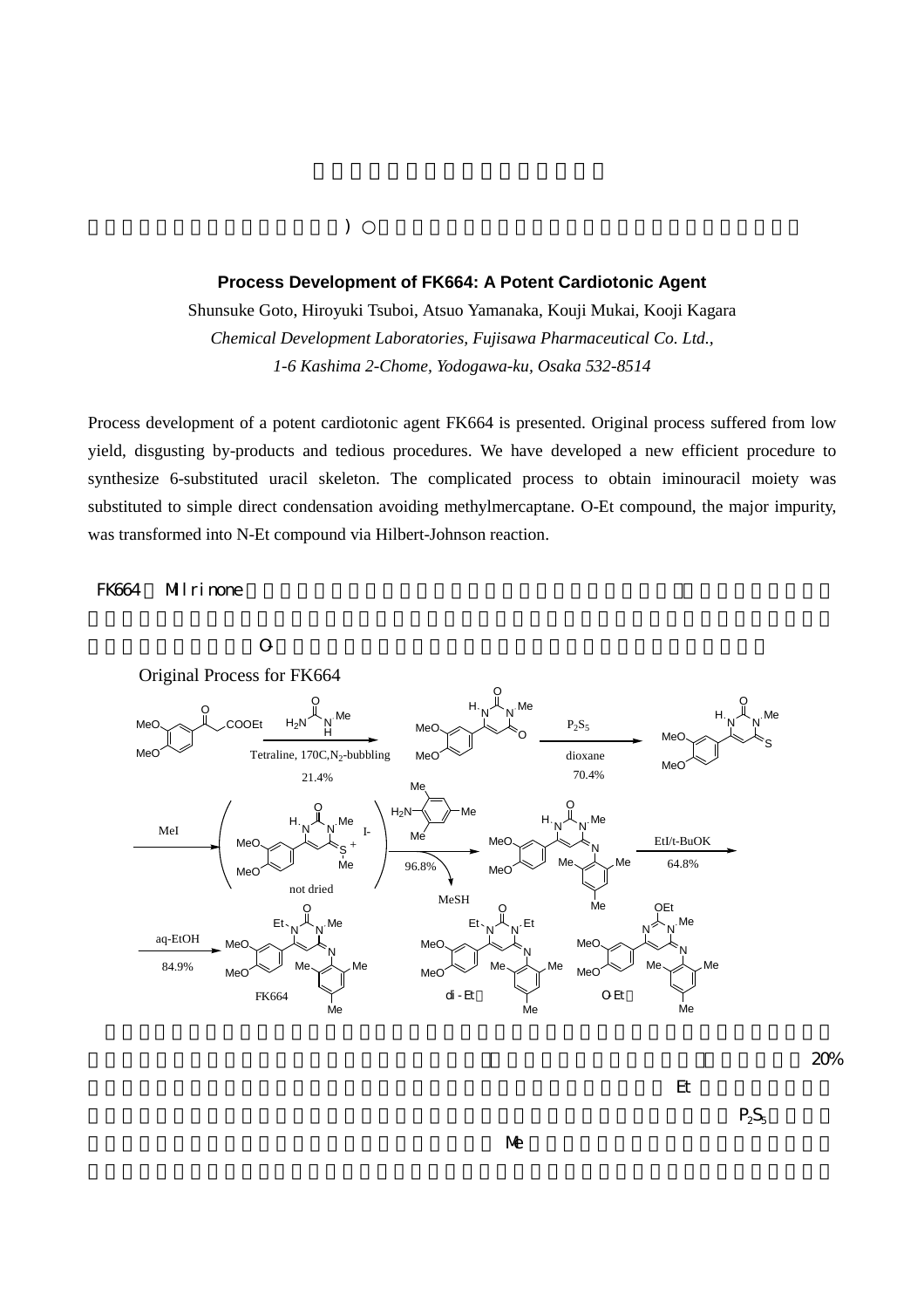## **Process Development of FK664: A Potent Cardiotonic Agent**

 $($ 

Shunsuke Goto, Hiroyuki Tsuboi, Atsuo Yamanaka, Kouji Mukai, Kooji Kagara *Chemical Development Laboratories, Fujisawa Pharmaceutical Co. Ltd., 1-6 Kashima 2-Chome, Yodogawa-ku, Osaka 532-8514*

Process development of a potent cardiotonic agent FK664 is presented. Original process suffered from low yield, disgusting by-products and tedious procedures. We have developed a new efficient procedure to synthesize 6-substituted uracil skeleton. The complicated process to obtain iminouracil moiety was substituted to simple direct condensation avoiding methylmercaptane. O-Et compound, the major impurity, was transformed into N-Et compound via Hilbert-Johnson reaction.

## FK664 Milrinone  $\blacksquare$



 $\Theta$ 

 $20%$  $\mathbb{R}$ 

 $P_2S_5$